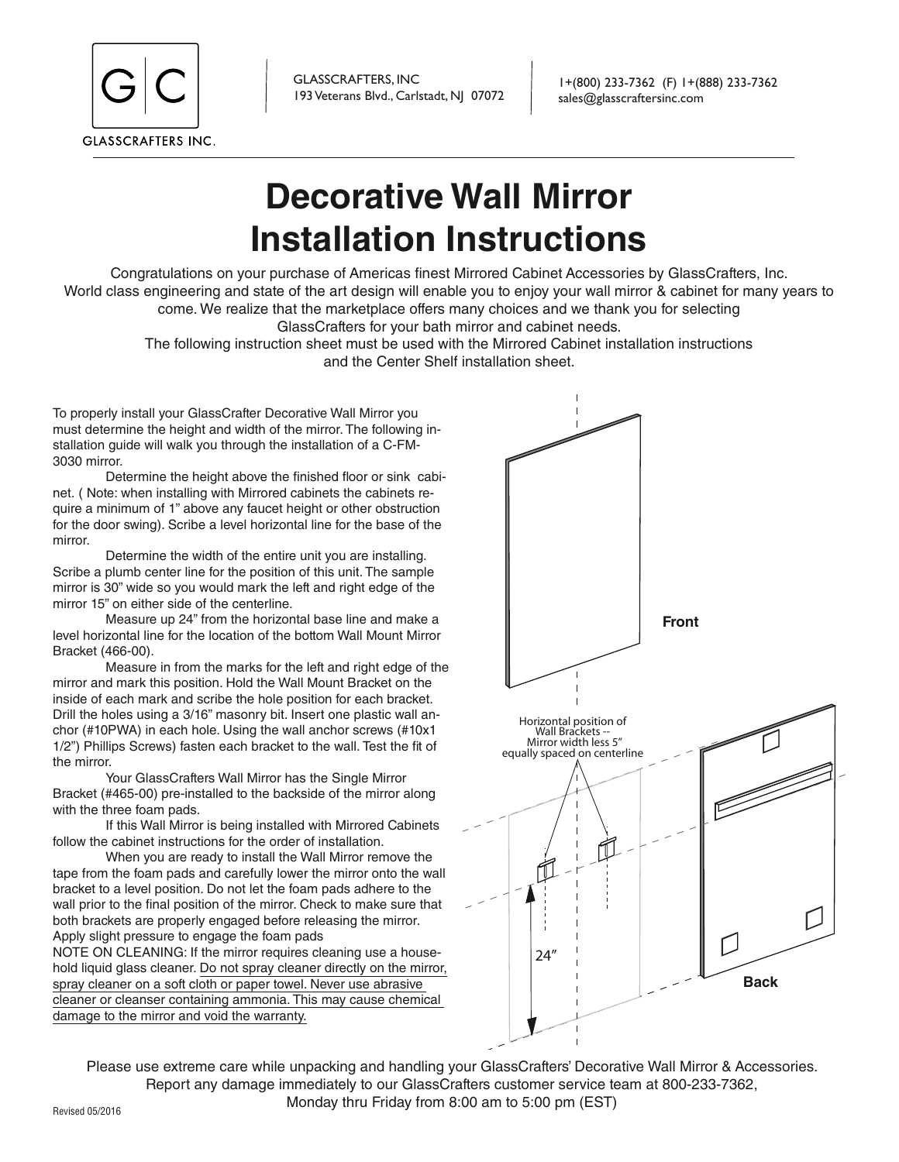

GLASSCRAFTERS, INC 193 Veterans Blvd., Carlstadt, NJ 07072

1+(800) 233-7362 (F) 1+(888) 233-7362 sales@glasscraftersinc.com

## **Decorative Wall Mirror Installation Instructions**

Congratulations on your purchase of Americas finest Mirrored Cabinet Accessories by GlassCrafters, Inc. World class engineering and state of the art design will enable you to enjoy your wall mirror & cabinet for many years to come. We realize that the marketplace offers many choices and we thank you for selecting

GlassCrafters for your bath mirror and cabinet needs.

The following instruction sheet must be used with the Mirrored Cabinet installation instructions and the Center Shelf installation sheet.

To properly install your GlassCrafter Decorative Wall Mirror you must determine the height and width of the mirror. The following installation guide will walk you through the installation of a C-FM-3030 mirror.

Determine the height above the finished floor or sink cabinet. ( Note: when installing with Mirrored cabinets the cabinets require a minimum of 1" above any faucet height or other obstruction for the door swing). Scribe a level horizontal line for the base of the mirror.

Determine the width of the entire unit you are installing. Scribe a plumb center line for the position of this unit. The sample mirror is 30" wide so you would mark the left and right edge of the mirror 15" on either side of the centerline.

Measure up 24" from the horizontal base line and make a level horizontal line for the location of the bottom Wall Mount Mirror Bracket (466-00).

Measure in from the marks for the left and right edge of the mirror and mark this position. Hold the Wall Mount Bracket on the inside of each mark and scribe the hole position for each bracket. Drill the holes using a 3/16" masonry bit. Insert one plastic wall anchor (#10PWA) in each hole. Using the wall anchor screws (#10x1 1/2") Phillips Screws) fasten each bracket to the wall. Test the fit of the mirror.

Your GlassCrafters Wall Mirror has the Single Mirror Bracket (#465-00) pre-installed to the backside of the mirror along with the three foam pads.

If this Wall Mirror is being installed with Mirrored Cabinets follow the cabinet instructions for the order of installation.

When you are ready to install the Wall Mirror remove the tape from the foam pads and carefully lower the mirror onto the wall bracket to a level position. Do not let the foam pads adhere to the wall prior to the final position of the mirror. Check to make sure that both brackets are properly engaged before releasing the mirror. Apply slight pressure to engage the foam pads

NOTE ON CLEANING: If the mirror requires cleaning use a household liquid glass cleaner. Do not spray cleaner directly on the mirror, spray cleaner on a soft cloth or paper towel. Never use abrasive cleaner or cleanser containing ammonia. This may cause chemical damage to the mirror and void the warranty.



Please use extreme care while unpacking and handling your GlassCrafters' Decorative Wall Mirror & Accessories. Report any damage immediately to our GlassCrafters customer service team at 800-233-7362, Monday thru Friday from 8:00 am to 5:00 pm (EST)